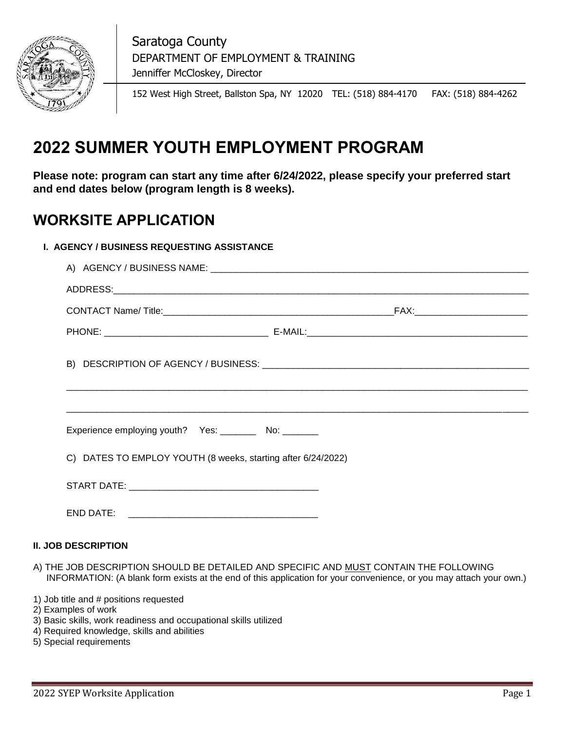

 Saratoga County DEPARTMENT OF EMPLOYMENT & TRAINING Jenniffer McCloskey, Director

152 West High Street, Ballston Spa, NY 12020 TEL: (518) 884-4170 FAX: (518) 884-4262

# **2022 SUMMER YOUTH EMPLOYMENT PROGRAM**

**Please note: program can start any time after 6/24/2022, please specify your preferred start and end dates below (program length is 8 weeks).** 

### **WORKSITE APPLICATION**

### **I. AGENCY / BUSINESS REQUESTING ASSISTANCE**

| Experience employing youth? Yes: ___________ No: _________   |  |  |  |  |  |
|--------------------------------------------------------------|--|--|--|--|--|
| C) DATES TO EMPLOY YOUTH (8 weeks, starting after 6/24/2022) |  |  |  |  |  |
|                                                              |  |  |  |  |  |
|                                                              |  |  |  |  |  |

### **II. JOB DESCRIPTION**

- A) THE JOB DESCRIPTION SHOULD BE DETAILED AND SPECIFIC AND MUST CONTAIN THE FOLLOWING INFORMATION: (A blank form exists at the end of this application for your convenience, or you may attach your own.)
- 1) Job title and # positions requested
- 2) Examples of work
- 3) Basic skills, work readiness and occupational skills utilized
- 4) Required knowledge, skills and abilities
- 5) Special requirements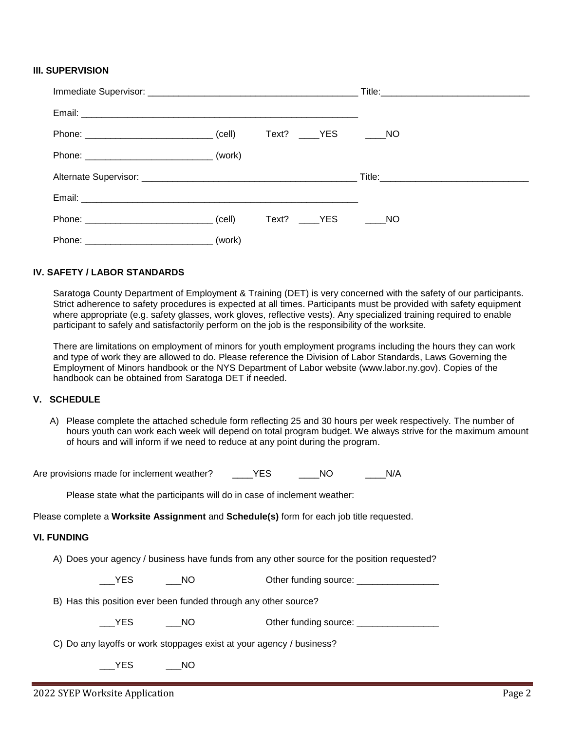#### **III. SUPERVISION**

|  | Text? _____YES ______NO |  |
|--|-------------------------|--|
|  |                         |  |
|  |                         |  |
|  |                         |  |
|  | Text? YES NO            |  |
|  |                         |  |

#### **IV. SAFETY / LABOR STANDARDS**

Saratoga County Department of Employment & Training (DET) is very concerned with the safety of our participants. Strict adherence to safety procedures is expected at all times. Participants must be provided with safety equipment where appropriate (e.g. safety glasses, work gloves, reflective vests). Any specialized training required to enable participant to safely and satisfactorily perform on the job is the responsibility of the worksite.

There are limitations on employment of minors for youth employment programs including the hours they can work and type of work they are allowed to do. Please reference the Division of Labor Standards, Laws Governing the Employment of Minors handbook or the NYS Department of Labor website (www.labor.ny.gov). Copies of the handbook can be obtained from Saratoga DET if needed.

#### **V. SCHEDULE**

A) Please complete the attached schedule form reflecting 25 and 30 hours per week respectively. The number of hours youth can work each week will depend on total program budget. We always strive for the maximum amount of hours and will inform if we need to reduce at any point during the program.

Are provisions made for inclement weather? \_\_\_\_\_\_\_\_YES \_\_\_\_\_\_\_\_\_\_\_\_\_\_\_\_\_\_\_\_\_\_ N/A

Please state what the participants will do in case of inclement weather:

Please complete a **Worksite Assignment** and **Schedule(s)** form for each job title requested.

#### **VI. FUNDING**

A) Does your agency / business have funds from any other source for the position requested?

The State of the MC of the funding source: The SNES CONSIDER SOLUTION Of the MC of the MC of the MC of the MC o

B) Has this position ever been funded through any other source?

\_\_\_YES \_\_\_\_\_\_NO \_\_\_\_\_\_\_\_\_ Other funding source: \_\_\_\_\_\_\_\_\_\_\_\_\_\_\_\_\_\_\_\_\_\_\_\_\_\_\_\_\_\_\_\_

C) Do any layoffs or work stoppages exist at your agency / business?

YES NO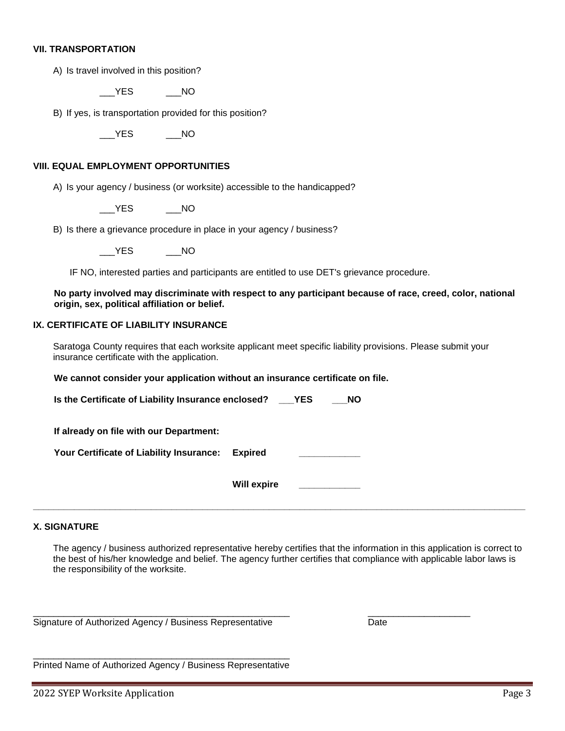#### **VII. TRANSPORTATION**

A) Is travel involved in this position?

\_\_\_YES \_\_\_NO

B) If yes, is transportation provided for this position?

\_\_\_YES \_\_\_NO

#### **VIII. EQUAL EMPLOYMENT OPPORTUNITIES**

A) Is your agency / business (or worksite) accessible to the handicapped?

YES NO

B) Is there a grievance procedure in place in your agency / business?

YES NO

IF NO, interested parties and participants are entitled to use DET's grievance procedure.

**No party involved may discriminate with respect to any participant because of race, creed, color, national origin, sex, political affiliation or belief.**

### **IX. CERTIFICATE OF LIABILITY INSURANCE**

Saratoga County requires that each worksite applicant meet specific liability provisions. Please submit your insurance certificate with the application.

**We cannot consider your application without an insurance certificate on file.**

**Is the Certificate of Liability Insurance enclosed? \_\_\_YES \_\_\_NO**

**If already on file with our Department:**

Your Certificate of Liability Insurance: Expired

**Will expire \_\_\_\_\_\_\_\_\_\_\_\_**

**\_\_\_\_\_\_\_\_\_\_\_\_\_\_\_\_\_\_\_\_\_\_\_\_\_\_\_\_\_\_\_\_\_\_\_\_\_\_\_\_\_\_\_\_\_\_\_\_\_\_\_\_\_\_\_\_\_\_\_\_\_\_\_\_\_\_\_\_\_\_\_\_\_\_\_\_\_\_\_\_\_\_\_\_\_\_\_\_\_\_\_\_\_\_\_\_**

#### **X. SIGNATURE**

The agency / business authorized representative hereby certifies that the information in this application is correct to the best of his/her knowledge and belief. The agency further certifies that compliance with applicable labor laws is the responsibility of the worksite.

\_\_\_\_\_\_\_\_\_\_\_\_\_\_\_\_\_\_\_\_\_\_\_\_\_\_\_\_\_\_\_\_\_\_\_\_\_\_\_\_\_\_\_\_\_\_\_\_\_\_ \_\_\_\_\_\_\_\_\_\_\_\_\_\_\_\_\_\_\_\_

Signature of Authorized Agency / Business Representative **Date** Date

\_\_\_\_\_\_\_\_\_\_\_\_\_\_\_\_\_\_\_\_\_\_\_\_\_\_\_\_\_\_\_\_\_\_\_\_\_\_\_\_\_\_\_\_\_\_\_\_\_\_ Printed Name of Authorized Agency / Business Representative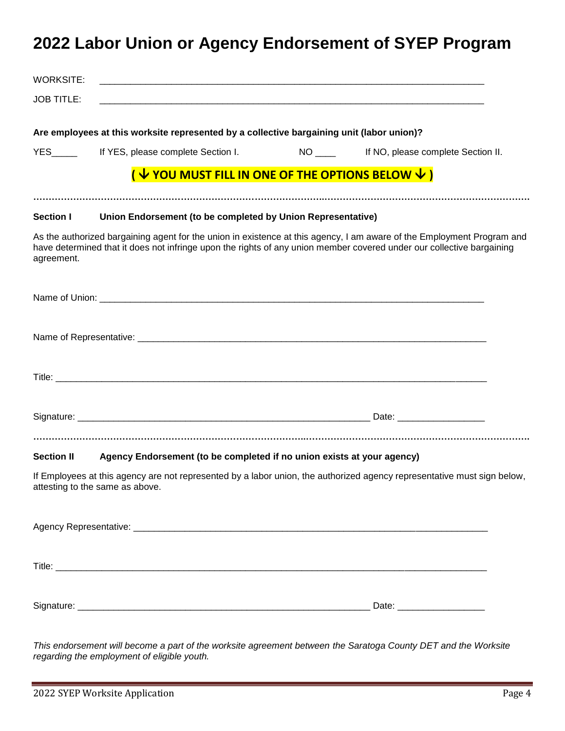## **2022 Labor Union or Agency Endorsement of SYEP Program**

| <b>WORKSITE:</b>  |                                                                                                                                                                                                                                                 |  |  |
|-------------------|-------------------------------------------------------------------------------------------------------------------------------------------------------------------------------------------------------------------------------------------------|--|--|
| <b>JOB TITLE:</b> |                                                                                                                                                                                                                                                 |  |  |
|                   | Are employees at this worksite represented by a collective bargaining unit (labor union)?                                                                                                                                                       |  |  |
|                   | YES ______ If YES, please complete Section I. NO ____ If NO, please complete Section II.                                                                                                                                                        |  |  |
|                   | ( $\sqrt{2}$ YOU MUST FILL IN ONE OF THE OPTIONS BELOW $\sqrt{2}$ )                                                                                                                                                                             |  |  |
| <b>Section I</b>  | Union Endorsement (to be completed by Union Representative)                                                                                                                                                                                     |  |  |
| agreement.        | As the authorized bargaining agent for the union in existence at this agency, I am aware of the Employment Program and<br>have determined that it does not infringe upon the rights of any union member covered under our collective bargaining |  |  |
|                   |                                                                                                                                                                                                                                                 |  |  |
|                   |                                                                                                                                                                                                                                                 |  |  |
|                   |                                                                                                                                                                                                                                                 |  |  |
|                   |                                                                                                                                                                                                                                                 |  |  |
| <b>Section II</b> | Agency Endorsement (to be completed if no union exists at your agency)                                                                                                                                                                          |  |  |
|                   | If Employees at this agency are not represented by a labor union, the authorized agency representative must sign below,<br>attesting to the same as above.                                                                                      |  |  |
|                   |                                                                                                                                                                                                                                                 |  |  |
|                   |                                                                                                                                                                                                                                                 |  |  |
|                   |                                                                                                                                                                                                                                                 |  |  |

*This endorsement will become a part of the worksite agreement between the Saratoga County DET and the Worksite regarding the employment of eligible youth.*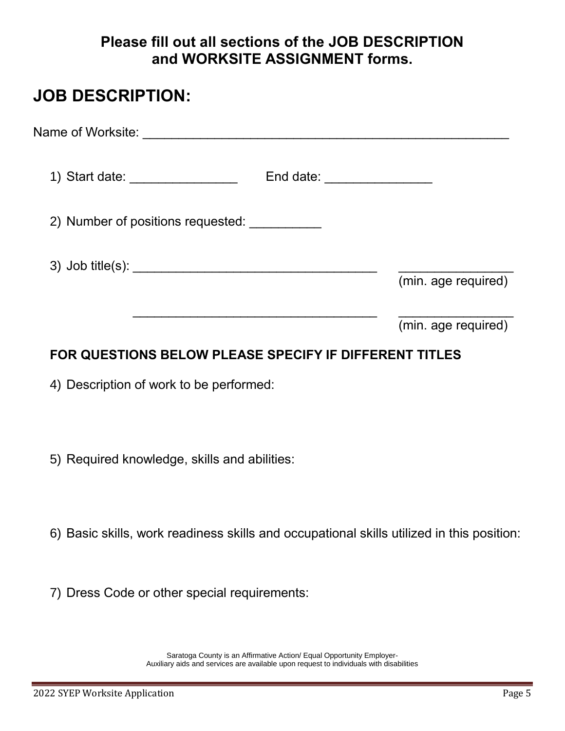### **Please fill out all sections of the JOB DESCRIPTION and WORKSITE ASSIGNMENT forms.**

### **JOB DESCRIPTION:**

| Name of Worksite:    ____________________________ |                              |                     |
|---------------------------------------------------|------------------------------|---------------------|
| 1) Start date: __________________                 | End date: __________________ |                     |
| 2) Number of positions requested:                 |                              |                     |
|                                                   |                              | (min. age required) |
|                                                   |                              | (min. age required) |

### **FOR QUESTIONS BELOW PLEASE SPECIFY IF DIFFERENT TITLES**

4) Description of work to be performed:

- 5) Required knowledge, skills and abilities:
- 6) Basic skills, work readiness skills and occupational skills utilized in this position:
- 7) Dress Code or other special requirements:

Saratoga County is an Affirmative Action/ Equal Opportunity Employer-Auxiliary aids and services are available upon request to individuals with disabilities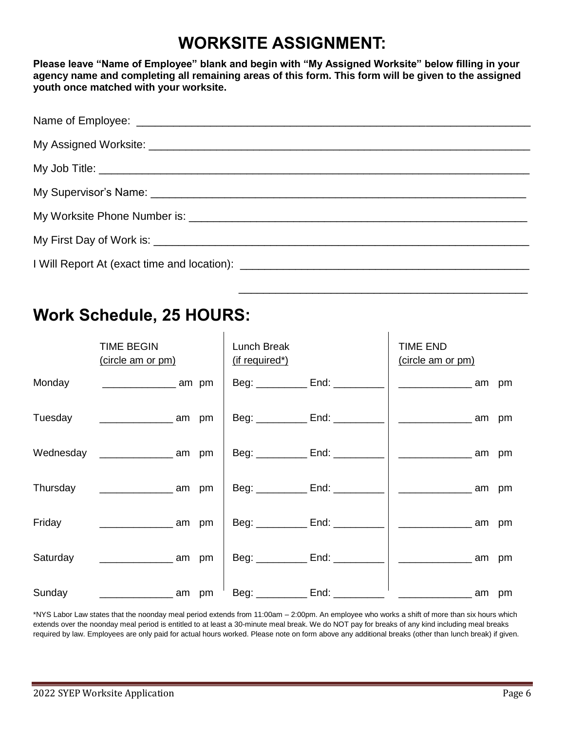# **WORKSITE ASSIGNMENT:**

**Please leave "Name of Employee" blank and begin with "My Assigned Worksite" below filling in your agency name and completing all remaining areas of this form. This form will be given to the assigned youth once matched with your worksite.** 

 $\overline{\phantom{a}}$  ,  $\overline{\phantom{a}}$  ,  $\overline{\phantom{a}}$  ,  $\overline{\phantom{a}}$  ,  $\overline{\phantom{a}}$  ,  $\overline{\phantom{a}}$  ,  $\overline{\phantom{a}}$  ,  $\overline{\phantom{a}}$  ,  $\overline{\phantom{a}}$  ,  $\overline{\phantom{a}}$  ,  $\overline{\phantom{a}}$  ,  $\overline{\phantom{a}}$  ,  $\overline{\phantom{a}}$  ,  $\overline{\phantom{a}}$  ,  $\overline{\phantom{a}}$  ,  $\overline{\phantom{a}}$ 

# **Work Schedule, 25 HOURS:**

|          | <b>TIME BEGIN</b><br>(circle am or pm)    | Lunch Break<br>(if required*) |                                     | <b>TIME END</b><br>(circle am or pm) |       |
|----------|-------------------------------------------|-------------------------------|-------------------------------------|--------------------------------------|-------|
| Monday   | $\frac{1}{2}$ am pm                       |                               | Beg: ______________ End: __________ |                                      | am pm |
| Tuesday  | <u>______________</u> am pm               |                               | Beg: ___________ End: __________    |                                      |       |
|          | Wednesday _________________________ am pm |                               | Beg: ___________ End: __________    |                                      |       |
| Thursday | <u>_________________</u> am pm            |                               | Beg: ___________ End: ___________   | the contract of the contract of the  | am pm |
| Friday   | $\frac{1}{2}$ am pm                       |                               | Beg: ___________ End: __________    | ____________________ am pm           |       |
| Saturday | <u>______________</u> am pm               |                               |                                     |                                      | am pm |
| Sunday   |                                           |                               |                                     | <u>_______________</u> am pm         |       |

\*NYS Labor Law states that the noonday meal period extends from 11:00am – 2:00pm. An employee who works a shift of more than six hours which extends over the noonday meal period is entitled to at least a 30-minute meal break. We do NOT pay for breaks of any kind including meal breaks required by law. Employees are only paid for actual hours worked. Please note on form above any additional breaks (other than lunch break) if given.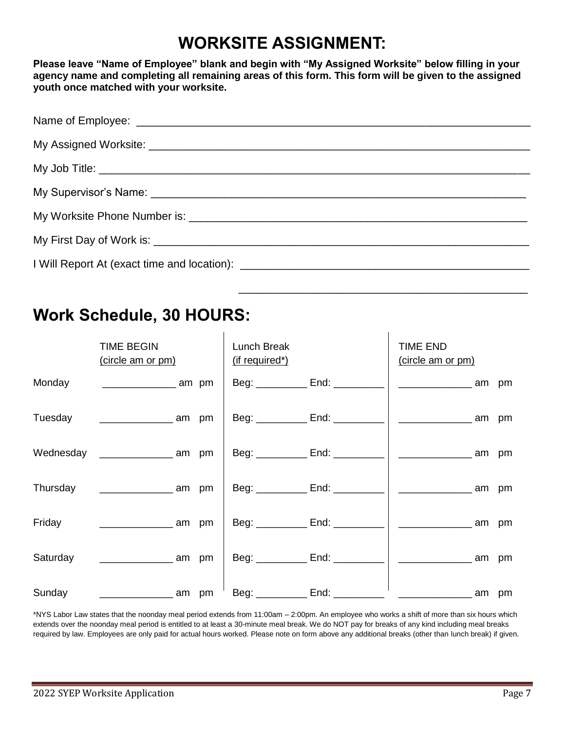# **WORKSITE ASSIGNMENT:**

**Please leave "Name of Employee" blank and begin with "My Assigned Worksite" below filling in your agency name and completing all remaining areas of this form. This form will be given to the assigned youth once matched with your worksite.** 

 $\overline{\phantom{a}}$  ,  $\overline{\phantom{a}}$  ,  $\overline{\phantom{a}}$  ,  $\overline{\phantom{a}}$  ,  $\overline{\phantom{a}}$  ,  $\overline{\phantom{a}}$  ,  $\overline{\phantom{a}}$  ,  $\overline{\phantom{a}}$  ,  $\overline{\phantom{a}}$  ,  $\overline{\phantom{a}}$  ,  $\overline{\phantom{a}}$  ,  $\overline{\phantom{a}}$  ,  $\overline{\phantom{a}}$  ,  $\overline{\phantom{a}}$  ,  $\overline{\phantom{a}}$  ,  $\overline{\phantom{a}}$ 

# **Work Schedule, 30 HOURS:**

|          | <b>TIME BEGIN</b><br>(circle am or pm)  | Lunch Break<br>(if required*) |                                     | TIME END<br>(circle am or pm) |    |
|----------|-----------------------------------------|-------------------------------|-------------------------------------|-------------------------------|----|
| Monday   | $\frac{1}{2}$ am pm                     |                               | Beg: _____________ End: __________  | am                            | pm |
| Tuesday  |                                         |                               | Beg: ____________ End: ___________  | am                            | pm |
|          | Wednesday _______________________ am pm |                               | Beg: ___________ End: _________     | , am                          | pm |
| Thursday | <u>________________</u> am pm           |                               | Beg: _____________ End: ___________ | am                            | pm |
| Friday   | <u>_____________</u> am pm              |                               |                                     | ∣am                           | pm |
| Saturday | $\frac{1}{2}$ am pm                     |                               | Beg: __________ End: _________      | am                            | pm |
| Sunday   |                                         |                               | Beg: __________ End: _________      | am                            | pm |

\*NYS Labor Law states that the noonday meal period extends from 11:00am – 2:00pm. An employee who works a shift of more than six hours which extends over the noonday meal period is entitled to at least a 30-minute meal break. We do NOT pay for breaks of any kind including meal breaks required by law. Employees are only paid for actual hours worked. Please note on form above any additional breaks (other than lunch break) if given.